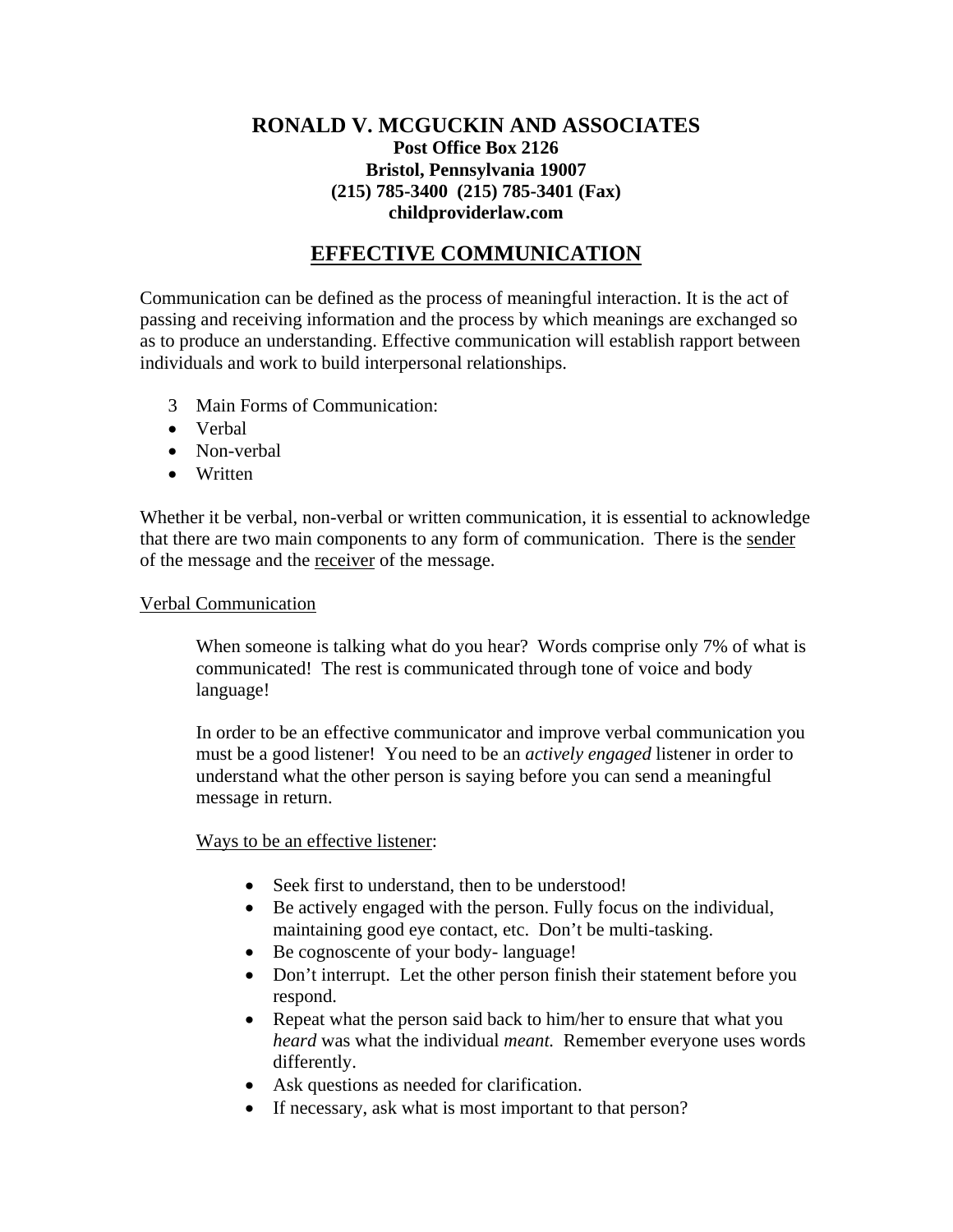# **RONALD V. MCGUCKIN AND ASSOCIATES Post Office Box 2126 Bristol, Pennsylvania 19007 (215) 785-3400 (215) 785-3401 (Fax) childproviderlaw.com**

# **EFFECTIVE COMMUNICATION**

Communication can be defined as the process of meaningful interaction. It is the act of passing and receiving information and the process by which meanings are exchanged so as to produce an understanding. Effective communication will establish rapport between individuals and work to build interpersonal relationships.

- 3 Main Forms of Communication:
- Verbal
- Non-verbal
- Written

Whether it be verbal, non-verbal or written communication, it is essential to acknowledge that there are two main components to any form of communication. There is the sender of the message and the receiver of the message.

#### Verbal Communication

When someone is talking what do you hear? Words comprise only 7% of what is communicated! The rest is communicated through tone of voice and body language!

In order to be an effective communicator and improve verbal communication you must be a good listener! You need to be an *actively engaged* listener in order to understand what the other person is saying before you can send a meaningful message in return.

## Ways to be an effective listener:

- Seek first to understand, then to be understood!
- Be actively engaged with the person. Fully focus on the individual, maintaining good eye contact, etc. Don't be multi-tasking.
- Be cognoscente of your body- language!
- Don't interrupt. Let the other person finish their statement before you respond.
- Repeat what the person said back to him/her to ensure that what you *heard* was what the individual *meant.* Remember everyone uses words differently.
- Ask questions as needed for clarification.
- If necessary, ask what is most important to that person?